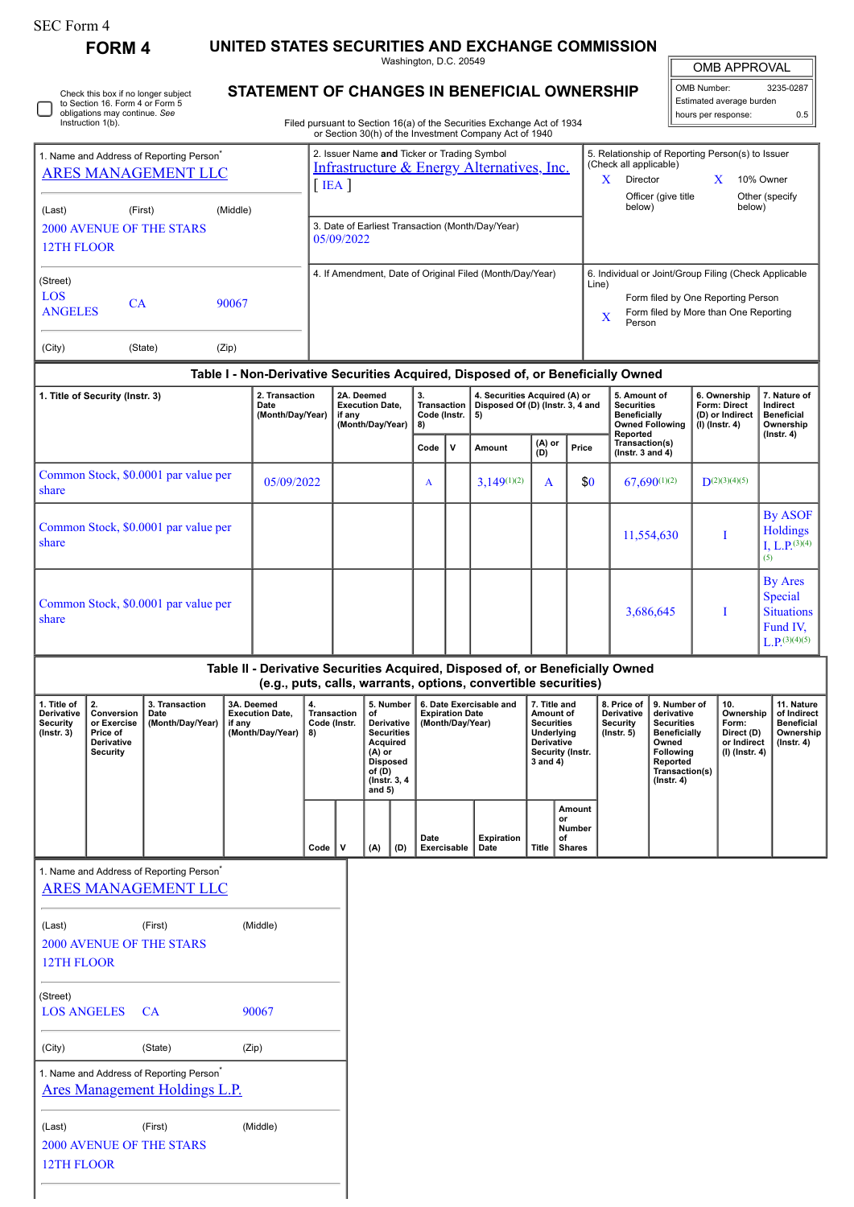**FORM 4 UNITED STATES SECURITIES AND EXCHANGE COMMISSION**

Washington, D.C. 20549

# **STATEMENT OF CHANGES IN BENEFICIAL OWNERSHIP**

Filed pursuant to Section 16(a) of the Securities Exchange Act of 1934 or Section 30(h) of the Investment Company Act of 1940

| <b>OMB APPROVAL</b> |
|---------------------|

| OMB Number:<br>3235-0287 |     |  |  |  |  |
|--------------------------|-----|--|--|--|--|
| Estimated average burden |     |  |  |  |  |
| hours per response:      | 0.5 |  |  |  |  |

| or occion comp or the investment company not or to lo                              |                                            |          |                                                                                                         |                                                                                                          |                                                                                                                                                |  |                           |  |
|------------------------------------------------------------------------------------|--------------------------------------------|----------|---------------------------------------------------------------------------------------------------------|----------------------------------------------------------------------------------------------------------|------------------------------------------------------------------------------------------------------------------------------------------------|--|---------------------------|--|
| 1. Name and Address of Reporting Person <sup>®</sup><br><b>ARES MANAGEMENT LLC</b> |                                            |          | 2. Issuer Name and Ticker or Trading Symbol<br>Infrastructure & Energy Alternatives, Inc.<br><b>IEA</b> | 5. Relationship of Reporting Person(s) to Issuer<br>(Check all applicable)<br>x<br>10% Owner<br>Director |                                                                                                                                                |  |                           |  |
| (Last)                                                                             | (First)<br><b>2000 AVENUE OF THE STARS</b> | (Middle) | 3. Date of Earliest Transaction (Month/Day/Year)<br>05/09/2022                                          |                                                                                                          | Officer (give title<br>below)                                                                                                                  |  | Other (specify)<br>below) |  |
| <b>12TH FLOOR</b>                                                                  |                                            |          |                                                                                                         |                                                                                                          |                                                                                                                                                |  |                           |  |
| (Street)<br>LOS<br><b>ANGELES</b>                                                  | <b>CA</b>                                  | 90067    | 4. If Amendment, Date of Original Filed (Month/Day/Year)                                                | Line)<br>X                                                                                               | 6. Individual or Joint/Group Filing (Check Applicable<br>Form filed by One Reporting Person<br>Form filed by More than One Reporting<br>Person |  |                           |  |
| (City)                                                                             | (State)                                    | (Zip)    |                                                                                                         |                                                                                                          |                                                                                                                                                |  |                           |  |

# **Table I - Non-Derivative Securities Acquired, Disposed of, or Beneficially Owned**

| 1. Title of Security (Instr. 3)               | 2. Transaction<br>Date<br>(Month/Day/Year) | 2A. Deemed<br><b>Execution Date,</b><br>if any<br>(Month/Day/Year) | 3.<br><b>Transaction</b><br>Code (Instr.<br>8) |   | 4. Securities Acquired (A) or<br>Disposed Of (D) (Instr. 3, 4 and<br>5) |               |       | 5. Amount of<br><b>Securities</b><br><b>Beneficially</b><br><b>Owned Following</b><br>Reported | 6. Ownership<br><b>Form: Direct</b><br>(D) or Indirect<br>(I) (Instr. 4) | 7. Nature of<br>Indirect<br><b>Beneficial</b><br>Ownership<br>$($ lnstr. 4 $)$      |
|-----------------------------------------------|--------------------------------------------|--------------------------------------------------------------------|------------------------------------------------|---|-------------------------------------------------------------------------|---------------|-------|------------------------------------------------------------------------------------------------|--------------------------------------------------------------------------|-------------------------------------------------------------------------------------|
|                                               |                                            |                                                                    | Code                                           | v | Amount                                                                  | (A) or<br>(D) | Price | Transaction(s)<br>$($ lnstr. 3 and 4 $)$                                                       |                                                                          |                                                                                     |
| Common Stock, \$0.0001 par value per<br>share | 05/09/2022                                 |                                                                    | A                                              |   | $3,149^{(1)(2)}$                                                        | $\mathbf{A}$  | \$0   | $67,690^{(1)(2)}$                                                                              | $D^{(2)(3)(4)(5)}$                                                       |                                                                                     |
| Common Stock, \$0.0001 par value per<br>share |                                            |                                                                    |                                                |   |                                                                         |               |       | 11,554,630                                                                                     |                                                                          | <b>By ASOF</b><br>Holdings<br>I, L.P. $^{(3)(4)}$<br>(5)                            |
| Common Stock, \$0,0001 par value per<br>share |                                            |                                                                    |                                                |   |                                                                         |               |       | 3,686,645                                                                                      |                                                                          | <b>By Ares</b><br>Special<br><b>Situations</b><br>Fund IV.<br>$L_{\cdot}P(3)(4)(5)$ |

## **Table II - Derivative Securities Acquired, Disposed of, or Beneficially Owned (e.g., puts, calls, warrants, options, convertible securities)**

| l. Title of<br><b>Derivative</b><br>Security<br>$($ lnstr. 3 $)$ | Conversion<br>or Exercise<br>Price of<br><b>Derivative</b><br>Security | 3. Transaction<br>Date<br>(Month/Day/Year) | 3A. Deemed<br><b>Execution Date.</b><br>if any<br>(Month/Dav/Year) | 4.<br>Transaction<br>Code (Instr.<br>8) |  | οf<br>Acquired<br>(A) or<br><b>Disposed</b><br>of (D)<br>(Instr. 3, 4)<br>and $5)$ | 5. Number<br><b>Derivative</b><br><b>Securities</b> | 6. Date Exercisable and<br><b>Expiration Date</b><br>(Month/Dav/Year) |                           |       |                                                      |  | 7. Title and<br>Amount of<br><b>Securities</b><br>Underlying<br><b>Derivative</b><br>Security (Instr.<br>3 and 4) |  | 8. Price of I<br><b>Derivative</b><br>Security<br>$($ lnstr. 5 $)$ | 9. Number of<br>derivative<br><b>Securities</b><br><b>Beneficially</b><br>Owned<br><b>Following</b><br>Reported<br>Transaction(s)<br>$($ Instr. 4 $)$ | 10.<br>Ownership<br>Form:<br>Direct (D)<br>or Indirect<br>(I) (Instr. 4) | 11. Nature<br>of Indirect<br><b>Beneficial</b><br>Ownership<br>$($ lnstr. 4 $)$ |
|------------------------------------------------------------------|------------------------------------------------------------------------|--------------------------------------------|--------------------------------------------------------------------|-----------------------------------------|--|------------------------------------------------------------------------------------|-----------------------------------------------------|-----------------------------------------------------------------------|---------------------------|-------|------------------------------------------------------|--|-------------------------------------------------------------------------------------------------------------------|--|--------------------------------------------------------------------|-------------------------------------------------------------------------------------------------------------------------------------------------------|--------------------------------------------------------------------------|---------------------------------------------------------------------------------|
|                                                                  |                                                                        |                                            |                                                                    | Code                                    |  | (A)                                                                                | (D)                                                 | Date<br><b>Exercisable</b>                                            | <b>Expiration</b><br>Date | Title | Amount<br>or<br><b>Number</b><br>of<br><b>Shares</b> |  |                                                                                                                   |  |                                                                    |                                                                                                                                                       |                                                                          |                                                                                 |

1. Name and Address of Reporting Person<sup>\*</sup> [ARES MANAGEMENT LLC](http://www.sec.gov/cgi-bin/browse-edgar?action=getcompany&CIK=0001259313)

| (Last)                                  | (First)                              | (Middle) |  |  |  |  |  |  |
|-----------------------------------------|--------------------------------------|----------|--|--|--|--|--|--|
| 2000 AVENUE OF THE STARS                |                                      |          |  |  |  |  |  |  |
| 12TH FLOOR                              |                                      |          |  |  |  |  |  |  |
| (Street)                                |                                      |          |  |  |  |  |  |  |
| <b>LOS ANGELES</b>                      | <b>CA</b>                            | 90067    |  |  |  |  |  |  |
| (City)                                  | (State)                              | (Zip)    |  |  |  |  |  |  |
| 1. Name and Address of Reporting Person |                                      |          |  |  |  |  |  |  |
|                                         | <u>Ares Management Holdings L.P.</u> |          |  |  |  |  |  |  |
| (Last)                                  | (First)                              | (Middle) |  |  |  |  |  |  |
| 2000 AVENUE OF THE STARS                |                                      |          |  |  |  |  |  |  |
| <b>12TH FLOOR</b>                       |                                      |          |  |  |  |  |  |  |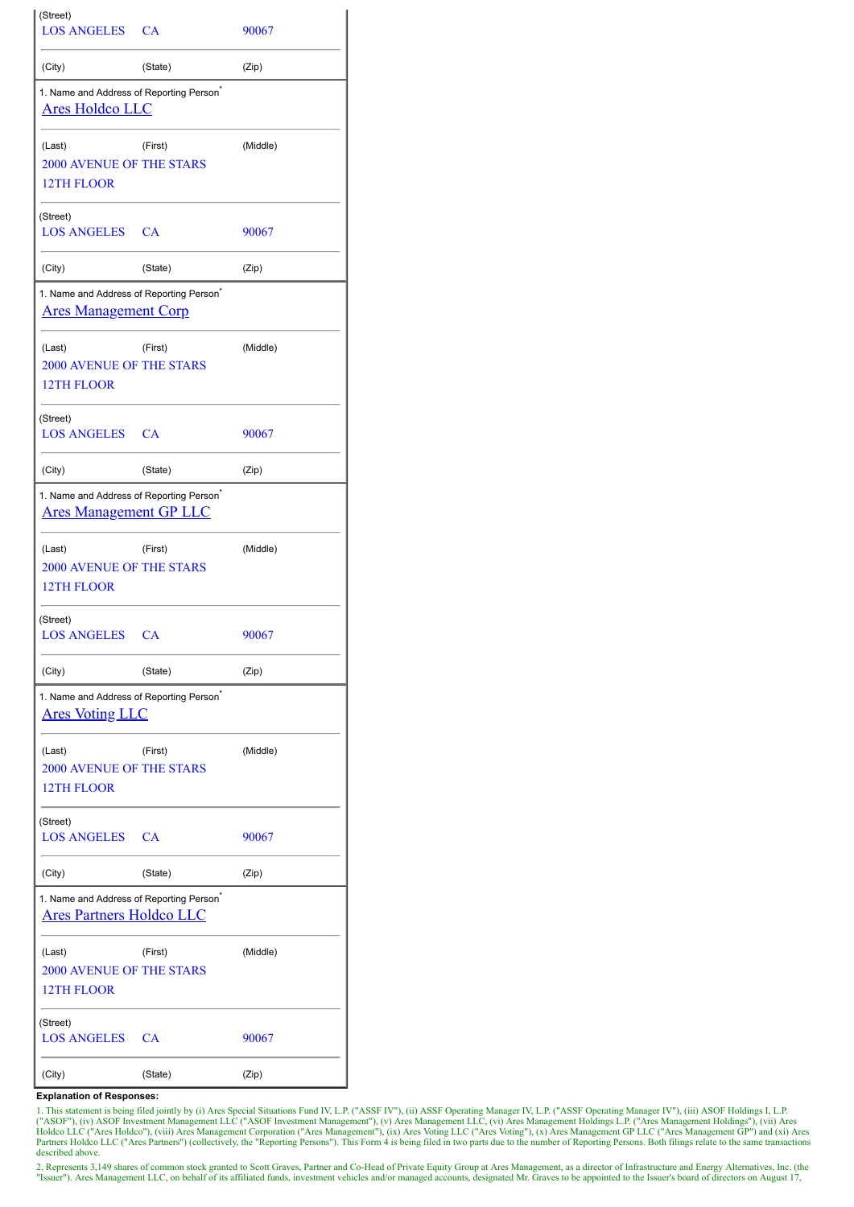| (Street)<br><b>LOS ANGELES</b>                                                          | CA        | 90067    |
|-----------------------------------------------------------------------------------------|-----------|----------|
| (City)                                                                                  | (State)   | (Zip)    |
| 1. Name and Address of Reporting Person <sup>®</sup><br><b>Ares Holdco LLC</b>          |           |          |
| (Last)<br><b>2000 AVENUE OF THE STARS</b><br>12TH FLOOR                                 | (First)   | (Middle) |
| (Street)<br><b>LOS ANGELES</b>                                                          | <b>CA</b> | 90067    |
| (City)                                                                                  | (State)   | (Zip)    |
| 1. Name and Address of Reporting Person <sup>®</sup><br><b>Ares Management Corp</b>     |           |          |
| (Last)<br><b>2000 AVENUE OF THE STARS</b><br>12TH FLOOR                                 | (First)   | (Middle) |
| (Street)<br><b>LOS ANGELES</b>                                                          | CA        | 90067    |
| (City)                                                                                  | (State)   | (Zip)    |
| 1. Name and Address of Reporting Person <sup>*</sup><br><b>Ares Management GP LLC</b>   |           |          |
| (Last)<br><b>2000 AVENUE OF THE STARS</b><br><b>12TH FLOOR</b>                          | (First)   | (Middle) |
| (Street)<br><b>LOS ANGELES</b>                                                          | CA        | 90067    |
| (City)                                                                                  | (State)   | (Zip)    |
| 1. Name and Address of Reporting Person <sup>®</sup><br><u>Ares Voting LLC</u>          |           |          |
| (Last)<br><b>2000 AVENUE OF THE STARS</b><br>12TH FLOOR                                 | (First)   | (Middle) |
| (Street)<br><b>LOS ANGELES</b>                                                          | CA        | 90067    |
| (City)                                                                                  | (State)   | (Zip)    |
| 1. Name and Address of Reporting Person <sup>®</sup><br><u>Ares Partners Holdco LLC</u> |           |          |
| (Last)<br><b>2000 AVENUE OF THE STARS</b><br>12TH FLOOR                                 | (First)   | (Middle) |
| (Street)<br><b>LOS ANGELES</b>                                                          | CA        | 90067    |
| (City)                                                                                  | (State)   | (Zip)    |

#### **Explanation of Responses:**

1. This statement is being filed jointly by (i) Ares Special Situations Fund IV, L.P. ("ASSF IV"), (ii) ASSF Operating Manager IV, L.P. ("ASSF Operating Manager IV"), (iii) ASOF Holdings I, L.P.<br>("ASOF"), (iv) ASOF Investm described above.

2. Represents 3,149 shares of common stock granted to Scott Graves, Partner and Co-Head of Private Equity Group at Ares Management, as a director of Infrastructure and Energy Alternatives, Inc. (the "Issuer"). Ares Managem